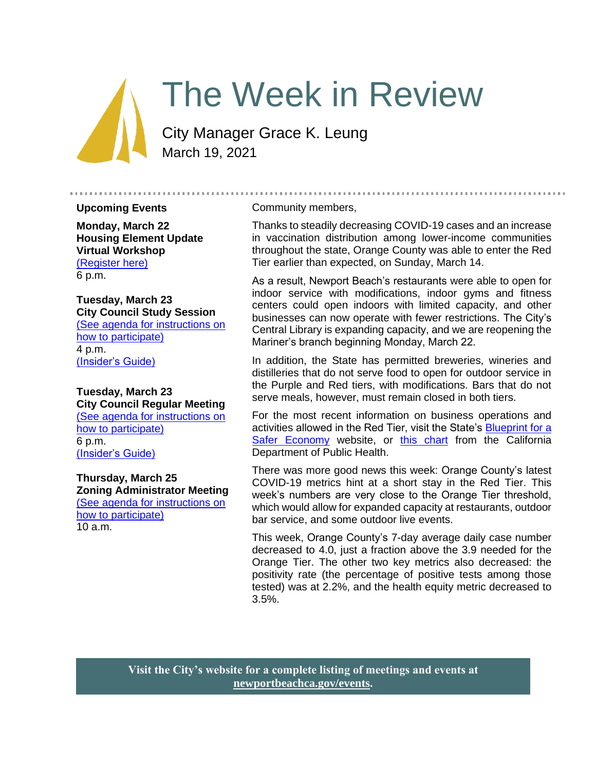# The Week in Review

City Manager Grace K. Leung March 19, 2021

#### **Upcoming Events**

**Monday, March 22 Housing Element Update Virtual Workshop** [\(Register here\)](https://zoom.us/meeting/register/tJAkf-yhqjIpGtfFuvlOkpFXdBSLlvH3jh2p) 6 p.m.

#### **Tuesday, March 23 City Council Study Session** [\(See agenda for instructions on](https://newportbeachca.gov/Home/Components/Calendar/Event/64229/72)  [how to participate\)](https://newportbeachca.gov/Home/Components/Calendar/Event/64229/72) 4 p.m. [\(Insider's Guide\)](#page-5-0)

#### **Tuesday, March 23 City Council Regular Meeting** [\(See agenda for instructions on](https://newportbeachca.gov/Home/Components/Calendar/Event/64229/72)  [how to participate\)](https://newportbeachca.gov/Home/Components/Calendar/Event/64229/72) 6 p.m. [\(Insider's Guide\)](#page-5-0)

**Thursday, March 25 Zoning Administrator Meeting** [\(See agenda for instructions on](https://newportbeachca.gov/Home/Components/Calendar/Event/64991/72)  [how to participate\)](https://newportbeachca.gov/Home/Components/Calendar/Event/64991/72) 10 a.m.

#### Community members,

Thanks to steadily decreasing COVID-19 cases and an increase in vaccination distribution among lower-income communities throughout the state, Orange County was able to enter the Red Tier earlier than expected, on Sunday, March 14.

......................

As a result, Newport Beach's restaurants were able to open for indoor service with modifications, indoor gyms and fitness centers could open indoors with limited capacity, and other businesses can now operate with fewer restrictions. The City's Central Library is expanding capacity, and we are reopening the Mariner's branch beginning Monday, March 22.

In addition, the State has permitted breweries, wineries and distilleries that do not serve food to open for outdoor service in the Purple and Red tiers, with modifications. Bars that do not serve meals, however, must remain closed in both tiers.

For the most recent information on business operations and activities allowed in the Red Tier, visit the State's Blueprint for a [Safer Economy](https://covid19.ca.gov/safer-economy/) website, or [this chart](https://www.cdph.ca.gov/Programs/CID/DCDC/CDPH%20Document%20Library/COVID-19/Dimmer-Framework-September_2020.pdf) from the California Department of Public Health.

There was more good news this week: Orange County's latest COVID-19 metrics hint at a short stay in the Red Tier. This week's numbers are very close to the Orange Tier threshold, which would allow for expanded capacity at restaurants, outdoor bar service, and some outdoor live events.

This week, Orange County's 7-day average daily case number decreased to 4.0, just a fraction above the 3.9 needed for the Orange Tier. The other two key metrics also decreased: the positivity rate (the percentage of positive tests among those tested) was at 2.2%, and the health equity metric decreased to 3.5%.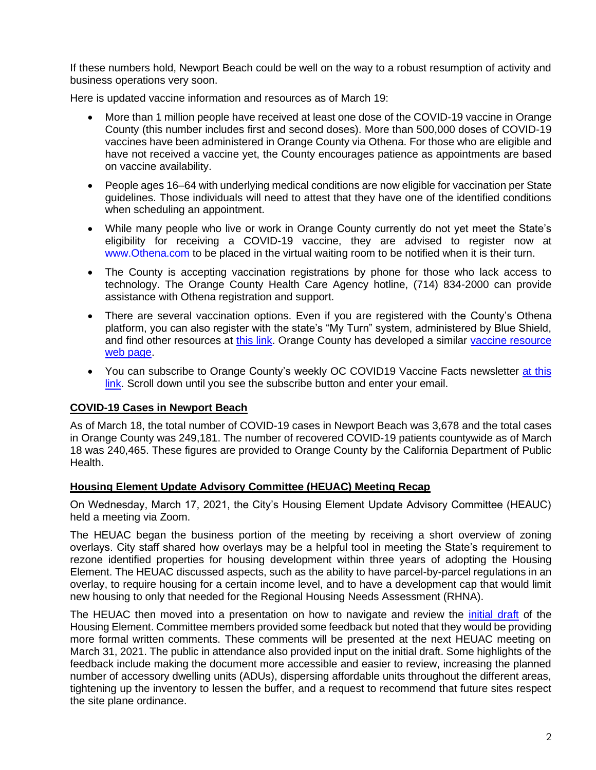If these numbers hold, Newport Beach could be well on the way to a robust resumption of activity and business operations very soon.

Here is updated vaccine information and resources as of March 19:

- More than 1 million people have received at least one dose of the COVID-19 vaccine in Orange County (this number includes first and second doses). More than 500,000 doses of COVID-19 vaccines have been administered in Orange County via Othena. For those who are eligible and have not received a vaccine yet, the County encourages patience as appointments are based on vaccine availability.
- People ages 16–64 with underlying medical conditions are now eligible for vaccination per State guidelines. Those individuals will need to attest that they have one of the identified conditions when scheduling an appointment.
- While many people who live or work in Orange County currently do not yet meet the State's eligibility for receiving a COVID-19 vaccine, they are advised to register now at [www.Othena.com](https://lnks.gd/l/eyJhbGciOiJIUzI1NiJ9.eyJidWxsZXRpbl9saW5rX2lkIjoxMDAsInVyaSI6ImJwMjpjbGljayIsImJ1bGxldGluX2lkIjoiMjAyMTAzMTguMzcyMjIwMzEiLCJ1cmwiOiJodHRwOi8vd3d3Lk90aGVuYS5jb20ifQ.5OHW0-vcE_IzHFtKN3jd8yvcc10Sa2dqetK02U7cNhc/s/1420811472/br/100285178308-l) to be placed in the virtual waiting room to be notified when it is their turn.
- The County is accepting vaccination registrations by phone for those who lack access to technology. The Orange County Health Care Agency hotline, (714) 834-2000 can provide assistance with Othena registration and support.
- There are several vaccination options. Even if you are registered with the County's Othena platform, you can also register with the state's "My Turn" system, administered by Blue Shield, and find other resources at [this link.](https://www.blueshieldca.com/bsca/bsc/wcm/connect/sites/sites_content_en/coronavirus/vaccine-locations) Orange County has developed a similar [vaccine resource](https://occovid19.ochealthinfo.com/covid-19-vaccine-distribution-channels)  [web page.](https://occovid19.ochealthinfo.com/covid-19-vaccine-distribution-channels)
- You can subscribe to Orange County's weekly OC COVID19 Vaccine Facts newsletter at this [link.](https://occovid19.ochealthinfo.com/covid-19-vaccine-resources) Scroll down until you see the subscribe button and enter your email.

# **COVID-19 Cases in Newport Beach**

As of March 18, the total number of COVID-19 cases in Newport Beach was 3,678 and the total cases in Orange County was 249,181. The number of recovered COVID-19 patients countywide as of March 18 was 240,465. These figures are provided to Orange County by the California Department of Public Health.

# **Housing Element Update Advisory Committee (HEUAC) Meeting Recap**

On Wednesday, March 17, 2021, the City's Housing Element Update Advisory Committee (HEAUC) held a meeting via Zoom.

The HEUAC began the business portion of the meeting by receiving a short overview of zoning overlays. City staff shared how overlays may be a helpful tool in meeting the State's requirement to rezone identified properties for housing development within three years of adopting the Housing Element. The HEUAC discussed aspects, such as the ability to have parcel-by-parcel regulations in an overlay, to require housing for a certain income level, and to have a development cap that would limit new housing to only that needed for the Regional Housing Needs Assessment (RHNA).

The HEUAC then moved into a presentation on how to navigate and review the *initial draft* of the Housing Element. Committee members provided some feedback but noted that they would be providing more formal written comments. These comments will be presented at the next HEUAC meeting on March 31, 2021. The public in attendance also provided input on the initial draft. Some highlights of the feedback include making the document more accessible and easier to review, increasing the planned number of accessory dwelling units (ADUs), dispersing affordable units throughout the different areas, tightening up the inventory to lessen the buffer, and a request to recommend that future sites respect the site plane ordinance.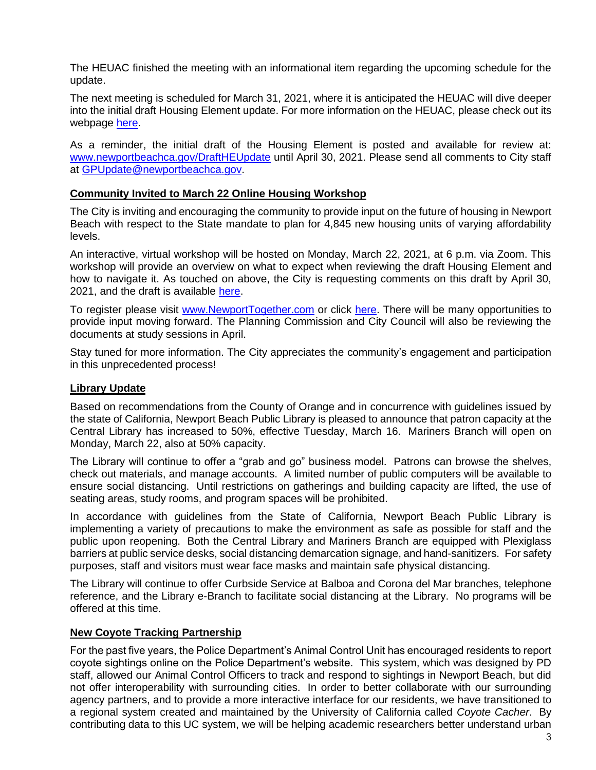The HEUAC finished the meeting with an informational item regarding the upcoming schedule for the update.

The next meeting is scheduled for March 31, 2021, where it is anticipated the HEUAC will dive deeper into the initial draft Housing Element update. For more information on the HEUAC, please check out its webpage [here.](https://www.newportbeachca.gov/government/data-hub/agendas-minutes/housing-element-update-advisory-committee)

As a reminder, the initial draft of the Housing Element is posted and available for review at: [www.newportbeachca.gov/DraftHEUpdate](http://www.newportbeachca.gov/DraftHEUpdate) until April 30, 2021. Please send all comments to City staff at [GPUpdate@newportbeachca.gov.](mailto:GPUpdate@newportbeachca.gov)

#### **Community Invited to March 22 Online Housing Workshop**

The City is inviting and encouraging the community to provide input on the future of housing in Newport Beach with respect to the State mandate to plan for 4,845 new housing units of varying affordability levels.

An interactive, virtual workshop will be hosted on Monday, March 22, 2021, at 6 p.m. via Zoom. This workshop will provide an overview on what to expect when reviewing the draft Housing Element and how to navigate it. As touched on above, the City is requesting comments on this draft by April 30, 2021, and the draft is available [here.](http://www.newportbeachca.gov/DraftHEUpdate)

To register please visit [www.NewportTogether.com](http://www.newporttogether.com/) or click [here.](https://zoom.us/meeting/register/tJAkf-yhqjIpGtfFuvlOkpFXdBSLlvH3jh2p) There will be many opportunities to provide input moving forward. The Planning Commission and City Council will also be reviewing the documents at study sessions in April.

Stay tuned for more information. The City appreciates the community's engagement and participation in this unprecedented process!

# **Library Update**

Based on recommendations from the County of Orange and in concurrence with guidelines issued by the state of California, Newport Beach Public Library is pleased to announce that patron capacity at the Central Library has increased to 50%, effective Tuesday, March 16. Mariners Branch will open on Monday, March 22, also at 50% capacity.

The Library will continue to offer a "grab and go" business model. Patrons can browse the shelves, check out materials, and manage accounts. A limited number of public computers will be available to ensure social distancing. Until restrictions on gatherings and building capacity are lifted, the use of seating areas, study rooms, and program spaces will be prohibited.

In accordance with guidelines from the State of California, Newport Beach Public Library is implementing a variety of precautions to make the environment as safe as possible for staff and the public upon reopening. Both the Central Library and Mariners Branch are equipped with Plexiglass barriers at public service desks, social distancing demarcation signage, and hand-sanitizers. For safety purposes, staff and visitors must wear face masks and maintain safe physical distancing.

The Library will continue to offer Curbside Service at Balboa and Corona del Mar branches, telephone reference, and the Library e-Branch to facilitate social distancing at the Library. No programs will be offered at this time.

# **New Coyote Tracking Partnership**

For the past five years, the Police Department's Animal Control Unit has encouraged residents to report coyote sightings online on the Police Department's website. This system, which was designed by PD staff, allowed our Animal Control Officers to track and respond to sightings in Newport Beach, but did not offer interoperability with surrounding cities. In order to better collaborate with our surrounding agency partners, and to provide a more interactive interface for our residents, we have transitioned to a regional system created and maintained by the University of California called *Coyote Cacher*. By contributing data to this UC system, we will be helping academic researchers better understand urban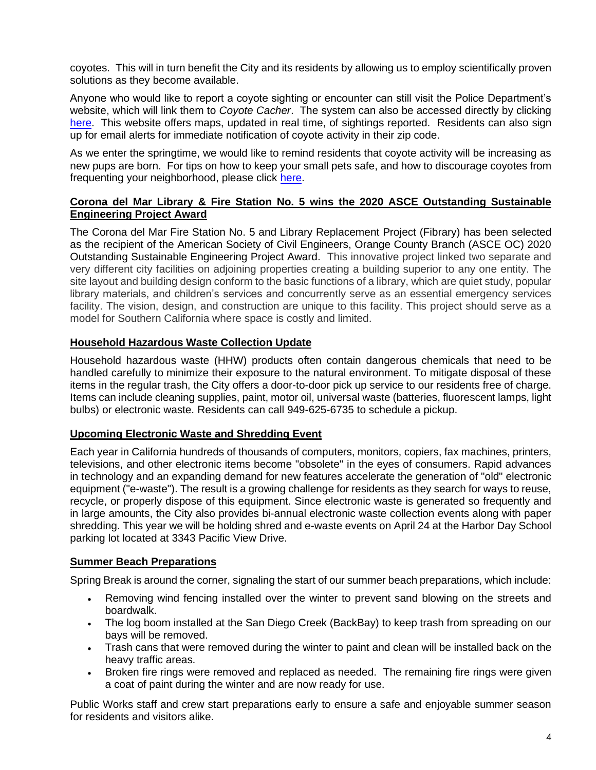coyotes. This will in turn benefit the City and its residents by allowing us to employ scientifically proven solutions as they become available.

Anyone who would like to report a coyote sighting or encounter can still visit the Police Department's website, which will link them to *Coyote Cacher*. The system can also be accessed directly by clicking [here.](https://urldefense.proofpoint.com/v2/url?u=https-3A__ucanr.edu_sites_CoyoteCacher_&d=DwMFAg&c=sfBE4hH8FB6CcYgAJfaP3Q&r=vxQ0AGtj8uQ5yD3PrM3cz1cxeOQDHYSQ9bFhmnAdxsk&m=t_EK2xGYDYc1W2crzM_7qW5wLZKyMVv7TvSLBB37c8o&s=K6c0BY6UgA80gzL64u-PeF2iGpsZ3yb6nQ_RzC4w9RE&e=) This website offers maps, updated in real time, of sightings reported. Residents can also sign up for email alerts for immediate notification of coyote activity in their zip code.

As we enter the springtime, we would like to remind residents that coyote activity will be increasing as new pups are born. For tips on how to keep your small pets safe, and how to discourage coyotes from frequenting your neighborhood, please click [here.](http://www.nbpd.org/community/animal_control/coyote_information.asp)

# **Corona del Mar Library & Fire Station No. 5 wins the 2020 ASCE Outstanding Sustainable Engineering Project Award**

The Corona del Mar Fire Station No. 5 and Library Replacement Project (Fibrary) has been selected as the recipient of the American Society of Civil Engineers, Orange County Branch (ASCE OC) 2020 Outstanding Sustainable Engineering Project Award. This innovative project linked two separate and very different city facilities on adjoining properties creating a building superior to any one entity. The site layout and building design conform to the basic functions of a library, which are quiet study, popular library materials, and children's services and concurrently serve as an essential emergency services facility. The vision, design, and construction are unique to this facility. This project should serve as a model for Southern California where space is costly and limited.

# **Household Hazardous Waste Collection Update**

Household hazardous waste (HHW) products often contain dangerous chemicals that need to be handled carefully to minimize their exposure to the natural environment. To mitigate disposal of these items in the regular trash, the City offers a door-to-door pick up service to our residents free of charge. Items can include cleaning supplies, paint, motor oil, universal waste (batteries, fluorescent lamps, light bulbs) or electronic waste. Residents can call 949-625-6735 to schedule a pickup.

# **Upcoming Electronic Waste and Shredding Event**

Each year in California hundreds of thousands of computers, monitors, copiers, fax machines, printers, televisions, and other electronic items become "obsolete" in the eyes of consumers. Rapid advances in technology and an expanding demand for new features accelerate the generation of "old" electronic equipment ("e-waste"). The result is a growing challenge for residents as they search for ways to reuse, recycle, or properly dispose of this equipment. Since electronic waste is generated so frequently and in large amounts, the City also provides bi-annual electronic waste collection events along with paper shredding. This year we will be holding shred and e-waste events on April 24 at the Harbor Day School parking lot located at 3343 Pacific View Drive.

# **Summer Beach Preparations**

Spring Break is around the corner, signaling the start of our summer beach preparations, which include:

- Removing wind fencing installed over the winter to prevent sand blowing on the streets and boardwalk.
- The log boom installed at the San Diego Creek (BackBay) to keep trash from spreading on our bays will be removed.
- Trash cans that were removed during the winter to paint and clean will be installed back on the heavy traffic areas.
- Broken fire rings were removed and replaced as needed. The remaining fire rings were given a coat of paint during the winter and are now ready for use.

Public Works staff and crew start preparations early to ensure a safe and enjoyable summer season for residents and visitors alike.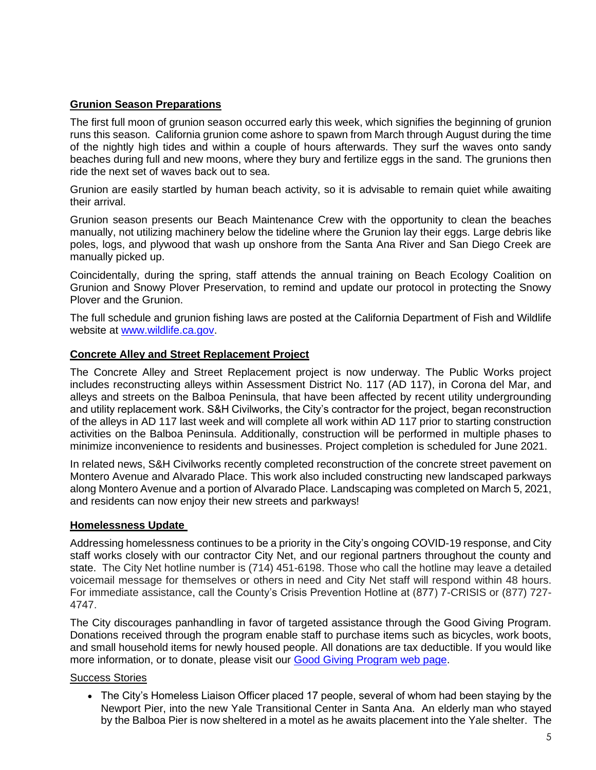# **Grunion Season Preparations**

The first full moon of grunion season occurred early this week, which signifies the beginning of grunion runs this season. California grunion come ashore to spawn from March through August during the time of the nightly high tides and within a couple of hours afterwards. They surf the waves onto sandy beaches during full and new moons, where they bury and fertilize eggs in the sand. The grunions then ride the next set of waves back out to sea.

Grunion are easily startled by human beach activity, so it is advisable to remain quiet while awaiting their arrival.

Grunion season presents our Beach Maintenance Crew with the opportunity to clean the beaches manually, not utilizing machinery below the tideline where the Grunion lay their eggs. Large debris like poles, logs, and plywood that wash up onshore from the Santa Ana River and San Diego Creek are manually picked up.

Coincidentally, during the spring, staff attends the annual training on Beach Ecology Coalition on Grunion and Snowy Plover Preservation, to remind and update our protocol in protecting the Snowy Plover and the Grunion.

The full schedule and grunion fishing laws are posted at the California Department of Fish and Wildlife website at [www.wildlife.ca.gov.](http://www.wildlife.ca.gov/)

#### **Concrete Alley and Street Replacement Project**

The Concrete Alley and Street Replacement project is now underway. The Public Works project includes reconstructing alleys within Assessment District No. 117 (AD 117), in Corona del Mar, and alleys and streets on the Balboa Peninsula, that have been affected by recent utility undergrounding and utility replacement work. S&H Civilworks, the City's contractor for the project, began reconstruction of the alleys in AD 117 last week and will complete all work within AD 117 prior to starting construction activities on the Balboa Peninsula. Additionally, construction will be performed in multiple phases to minimize inconvenience to residents and businesses. Project completion is scheduled for June 2021.

In related news, S&H Civilworks recently completed reconstruction of the concrete street pavement on Montero Avenue and Alvarado Place. This work also included constructing new landscaped parkways along Montero Avenue and a portion of Alvarado Place. Landscaping was completed on March 5, 2021, and residents can now enjoy their new streets and parkways!

#### **Homelessness Update**

Addressing homelessness continues to be a priority in the City's ongoing COVID-19 response, and City staff works closely with our contractor City Net, and our regional partners throughout the county and state. The City Net hotline number is (714) 451-6198. Those who call the hotline may leave a detailed voicemail message for themselves or others in need and City Net staff will respond within 48 hours. For immediate assistance, call the County's Crisis Prevention Hotline at (877) 7-CRISIS or (877) 727- 4747.

The City discourages panhandling in favor of targeted assistance through the Good Giving Program. Donations received through the program enable staff to purchase items such as bicycles, work boots, and small household items for newly housed people. All donations are tax deductible. If you would like more information, or to donate, please visit our [Good Giving Program web page.](https://newportbeachca.gov/trending/community-issues/homelessness/how-you-can-help)

#### Success Stories

• The City's Homeless Liaison Officer placed 17 people, several of whom had been staying by the Newport Pier, into the new Yale Transitional Center in Santa Ana. An elderly man who stayed by the Balboa Pier is now sheltered in a motel as he awaits placement into the Yale shelter. The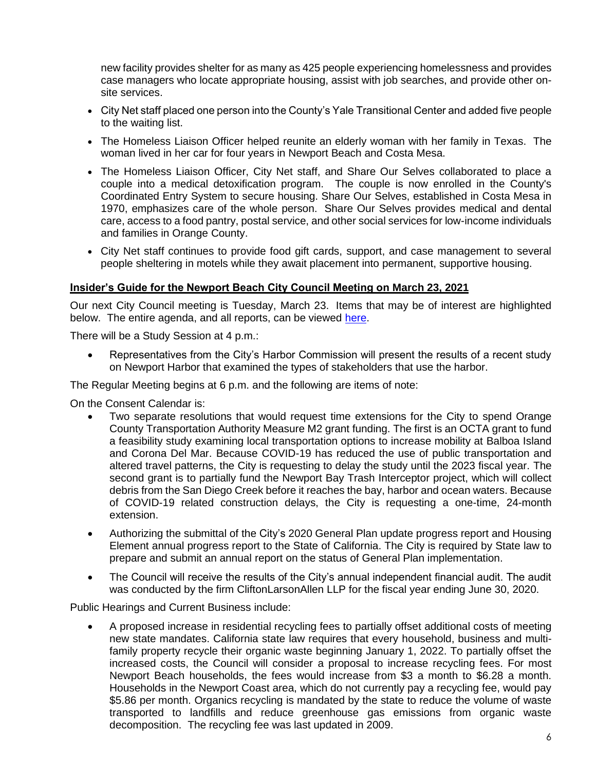new facility provides shelter for as many as 425 people experiencing homelessness and provides case managers who locate appropriate housing, assist with job searches, and provide other onsite services.

- City Net staff placed one person into the County's Yale Transitional Center and added five people to the waiting list.
- The Homeless Liaison Officer helped reunite an elderly woman with her family in Texas. The woman lived in her car for four years in Newport Beach and Costa Mesa.
- The Homeless Liaison Officer, City Net staff, and Share Our Selves collaborated to place a couple into a medical detoxification program. The couple is now enrolled in the County's Coordinated Entry System to secure housing. Share Our Selves, established in Costa Mesa in 1970, emphasizes care of the whole person. Share Our Selves provides medical and dental care, access to a food pantry, postal service, and other social services for low-income individuals and families in Orange County.
- City Net staff continues to provide food gift cards, support, and case management to several people sheltering in motels while they await placement into permanent, supportive housing.

#### <span id="page-5-0"></span>**Insider's Guide for the Newport Beach City Council Meeting on March 23, 2021**

Our next City Council meeting is Tuesday, March 23. Items that may be of interest are highlighted below. The entire agenda, and all reports, can be viewed [here.](https://www.newportbeachca.gov/Home/Components/Calendar/Event/64229/72)

There will be a Study Session at 4 p.m.:

• Representatives from the City's Harbor Commission will present the results of a recent study on Newport Harbor that examined the types of stakeholders that use the harbor.

The Regular Meeting begins at 6 p.m. and the following are items of note:

On the Consent Calendar is:

- Two separate resolutions that would request time extensions for the City to spend Orange County Transportation Authority Measure M2 grant funding. The first is an OCTA grant to fund a feasibility study examining local transportation options to increase mobility at Balboa Island and Corona Del Mar. Because COVID-19 has reduced the use of public transportation and altered travel patterns, the City is requesting to delay the study until the 2023 fiscal year. The second grant is to partially fund the Newport Bay Trash Interceptor project, which will collect debris from the San Diego Creek before it reaches the bay, harbor and ocean waters. Because of COVID-19 related construction delays, the City is requesting a one-time, 24-month extension.
- Authorizing the submittal of the City's 2020 General Plan update progress report and Housing Element annual progress report to the State of California. The City is required by State law to prepare and submit an annual report on the status of General Plan implementation.
- The Council will receive the results of the City's annual independent financial audit. The audit was conducted by the firm CliftonLarsonAllen LLP for the fiscal year ending June 30, 2020.

Public Hearings and Current Business include:

• A proposed increase in residential recycling fees to partially offset additional costs of meeting new state mandates. California state law requires that every household, business and multifamily property recycle their organic waste beginning January 1, 2022. To partially offset the increased costs, the Council will consider a proposal to increase recycling fees. For most Newport Beach households, the fees would increase from \$3 a month to \$6.28 a month. Households in the Newport Coast area, which do not currently pay a recycling fee, would pay \$5.86 per month. Organics recycling is mandated by the state to reduce the volume of waste transported to landfills and reduce greenhouse gas emissions from organic waste decomposition. The recycling fee was last updated in 2009.